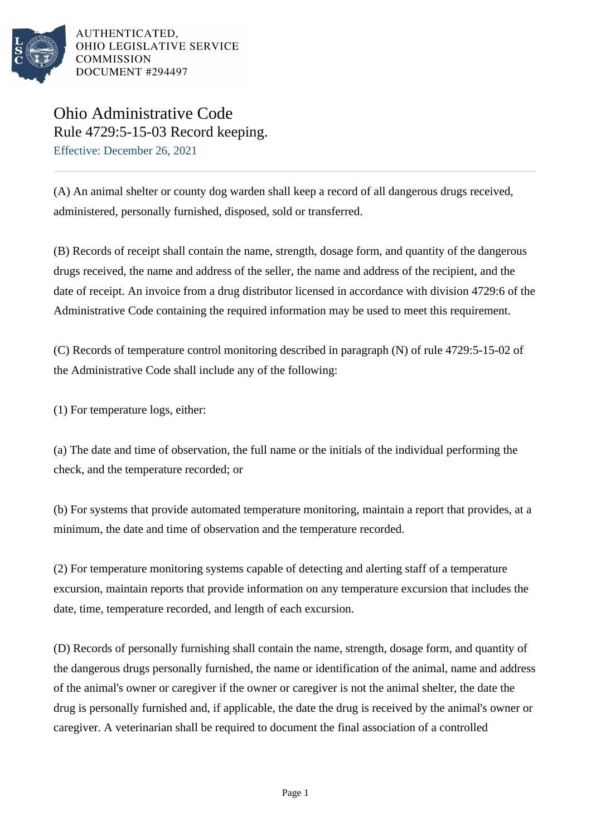

## Ohio Administrative Code Rule 4729:5-15-03 Record keeping. Effective: December 26, 2021

(A) An animal shelter or county dog warden shall keep a record of all dangerous drugs received, administered, personally furnished, disposed, sold or transferred.

(B) Records of receipt shall contain the name, strength, dosage form, and quantity of the dangerous drugs received, the name and address of the seller, the name and address of the recipient, and the date of receipt. An invoice from a drug distributor licensed in accordance with division 4729:6 of the Administrative Code containing the required information may be used to meet this requirement.

(C) Records of temperature control monitoring described in paragraph (N) of rule 4729:5-15-02 of the Administrative Code shall include any of the following:

(1) For temperature logs, either:

(a) The date and time of observation, the full name or the initials of the individual performing the check, and the temperature recorded; or

(b) For systems that provide automated temperature monitoring, maintain a report that provides, at a minimum, the date and time of observation and the temperature recorded.

(2) For temperature monitoring systems capable of detecting and alerting staff of a temperature excursion, maintain reports that provide information on any temperature excursion that includes the date, time, temperature recorded, and length of each excursion.

(D) Records of personally furnishing shall contain the name, strength, dosage form, and quantity of the dangerous drugs personally furnished, the name or identification of the animal, name and address of the animal's owner or caregiver if the owner or caregiver is not the animal shelter, the date the drug is personally furnished and, if applicable, the date the drug is received by the animal's owner or caregiver. A veterinarian shall be required to document the final association of a controlled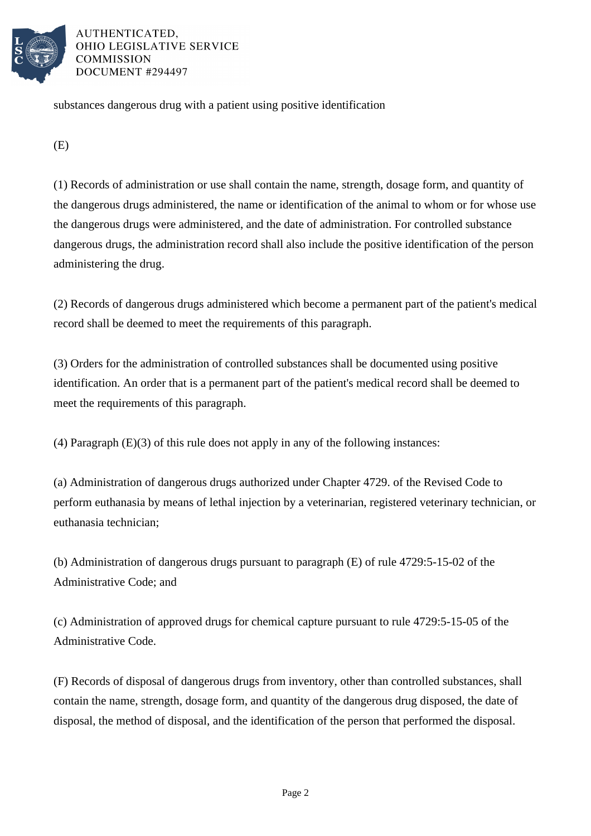

substances dangerous drug with a patient using positive identification

(E)

(1) Records of administration or use shall contain the name, strength, dosage form, and quantity of the dangerous drugs administered, the name or identification of the animal to whom or for whose use the dangerous drugs were administered, and the date of administration. For controlled substance dangerous drugs, the administration record shall also include the positive identification of the person administering the drug.

(2) Records of dangerous drugs administered which become a permanent part of the patient's medical record shall be deemed to meet the requirements of this paragraph.

(3) Orders for the administration of controlled substances shall be documented using positive identification. An order that is a permanent part of the patient's medical record shall be deemed to meet the requirements of this paragraph.

(4) Paragraph (E)(3) of this rule does not apply in any of the following instances:

(a) Administration of dangerous drugs authorized under Chapter 4729. of the Revised Code to perform euthanasia by means of lethal injection by a veterinarian, registered veterinary technician, or euthanasia technician;

(b) Administration of dangerous drugs pursuant to paragraph (E) of rule 4729:5-15-02 of the Administrative Code; and

(c) Administration of approved drugs for chemical capture pursuant to rule 4729:5-15-05 of the Administrative Code.

(F) Records of disposal of dangerous drugs from inventory, other than controlled substances, shall contain the name, strength, dosage form, and quantity of the dangerous drug disposed, the date of disposal, the method of disposal, and the identification of the person that performed the disposal.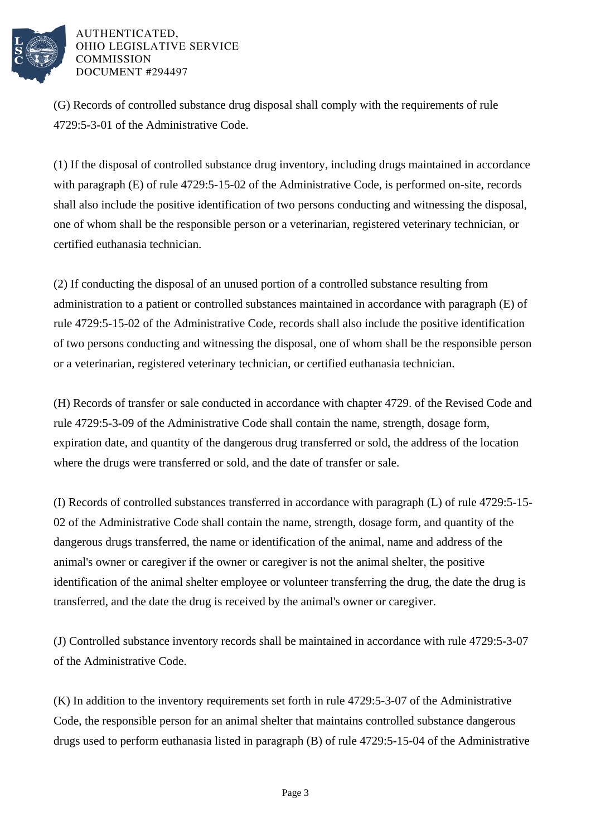

(G) Records of controlled substance drug disposal shall comply with the requirements of rule 4729:5-3-01 of the Administrative Code.

(1) If the disposal of controlled substance drug inventory, including drugs maintained in accordance with paragraph (E) of rule 4729:5-15-02 of the Administrative Code, is performed on-site, records shall also include the positive identification of two persons conducting and witnessing the disposal, one of whom shall be the responsible person or a veterinarian, registered veterinary technician, or certified euthanasia technician.

(2) If conducting the disposal of an unused portion of a controlled substance resulting from administration to a patient or controlled substances maintained in accordance with paragraph (E) of rule 4729:5-15-02 of the Administrative Code, records shall also include the positive identification of two persons conducting and witnessing the disposal, one of whom shall be the responsible person or a veterinarian, registered veterinary technician, or certified euthanasia technician.

(H) Records of transfer or sale conducted in accordance with chapter 4729. of the Revised Code and rule 4729:5-3-09 of the Administrative Code shall contain the name, strength, dosage form, expiration date, and quantity of the dangerous drug transferred or sold, the address of the location where the drugs were transferred or sold, and the date of transfer or sale.

(I) Records of controlled substances transferred in accordance with paragraph (L) of rule 4729:5-15- 02 of the Administrative Code shall contain the name, strength, dosage form, and quantity of the dangerous drugs transferred, the name or identification of the animal, name and address of the animal's owner or caregiver if the owner or caregiver is not the animal shelter, the positive identification of the animal shelter employee or volunteer transferring the drug, the date the drug is transferred, and the date the drug is received by the animal's owner or caregiver.

(J) Controlled substance inventory records shall be maintained in accordance with rule 4729:5-3-07 of the Administrative Code.

(K) In addition to the inventory requirements set forth in rule 4729:5-3-07 of the Administrative Code, the responsible person for an animal shelter that maintains controlled substance dangerous drugs used to perform euthanasia listed in paragraph (B) of rule 4729:5-15-04 of the Administrative